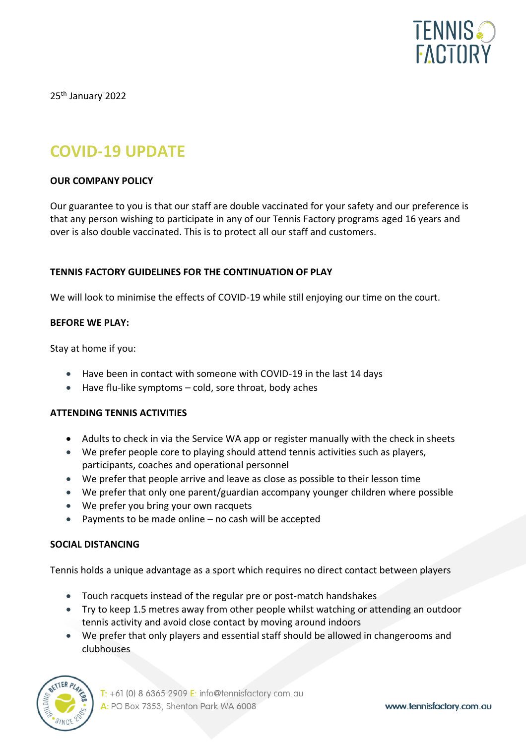

25<sup>th</sup> January 2022

# **COVID-19 UPDATE**

## **OUR COMPANY POLICY**

Our guarantee to you is that our staff are double vaccinated for your safety and our preference is that any person wishing to participate in any of our Tennis Factory programs aged 16 years and over is also double vaccinated. This is to protect all our staff and customers.

## **TENNIS FACTORY GUIDELINES FOR THE CONTINUATION OF PLAY**

We will look to minimise the effects of COVID-19 while still enjoying our time on the court.

## **BEFORE WE PLAY:**

Stay at home if you:

- Have been in contact with someone with COVID-19 in the last 14 days
- Have flu-like symptoms cold, sore throat, body aches

#### **ATTENDING TENNIS ACTIVITIES**

- Adults to check in via the Service WA app or register manually with the check in sheets
- We prefer people core to playing should attend tennis activities such as players, participants, coaches and operational personnel
- We prefer that people arrive and leave as close as possible to their lesson time
- We prefer that only one parent/guardian accompany younger children where possible
- We prefer you bring your own racquets
- Payments to be made online no cash will be accepted

#### **SOCIAL DISTANCING**

Tennis holds a unique advantage as a sport which requires no direct contact between players

- Touch racquets instead of the regular pre or post-match handshakes
- Try to keep 1.5 metres away from other people whilst watching or attending an outdoor tennis activity and avoid close contact by moving around indoors
- We prefer that only players and essential staff should be allowed in changerooms and clubhouses



 $T: +61$  (0) 8 6365 2909 E: info@tennisfactory.com.au A: PO Box 7353, Shenton Park WA 6008